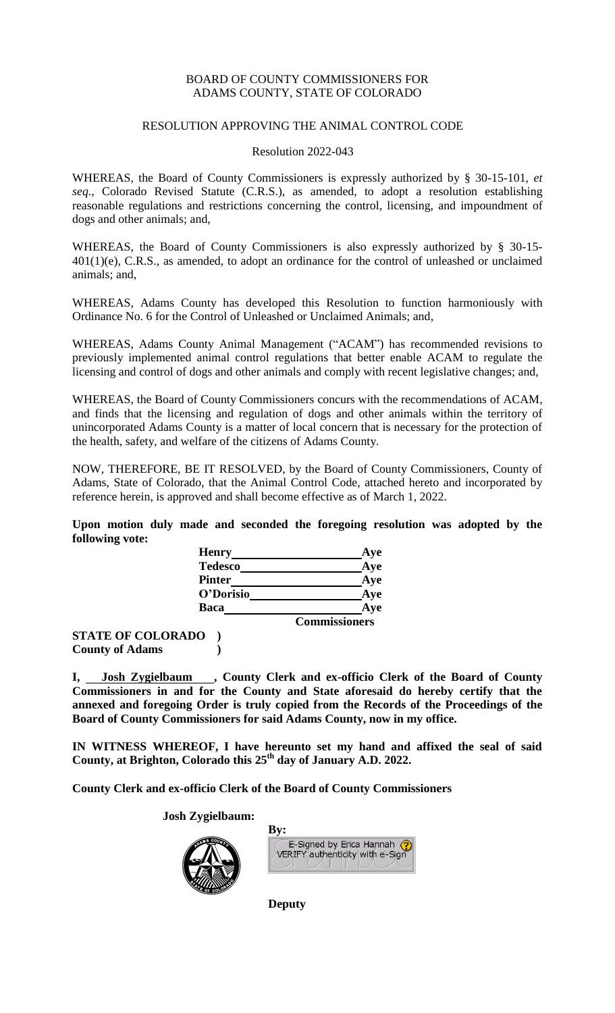## BOARD OF COUNTY COMMISSIONERS FOR ADAMS COUNTY, STATE OF COLORADO

#### RESOLUTION APPROVING THE ANIMAL CONTROL CODE

#### Resolution 2022-043

WHEREAS, the Board of County Commissioners is expressly authorized by § 30-15-101, *et seq*., Colorado Revised Statute (C.R.S.), as amended, to adopt a resolution establishing reasonable regulations and restrictions concerning the control, licensing, and impoundment of dogs and other animals; and,

WHEREAS, the Board of County Commissioners is also expressly authorized by § 30-15- 401(1)(e), C.R.S., as amended, to adopt an ordinance for the control of unleashed or unclaimed animals; and,

WHEREAS, Adams County has developed this Resolution to function harmoniously with Ordinance No. 6 for the Control of Unleashed or Unclaimed Animals; and,

WHEREAS, Adams County Animal Management ("ACAM") has recommended revisions to previously implemented animal control regulations that better enable ACAM to regulate the licensing and control of dogs and other animals and comply with recent legislative changes; and,

WHEREAS, the Board of County Commissioners concurs with the recommendations of ACAM, and finds that the licensing and regulation of dogs and other animals within the territory of unincorporated Adams County is a matter of local concern that is necessary for the protection of the health, safety, and welfare of the citizens of Adams County.

NOW, THEREFORE, BE IT RESOLVED, by the Board of County Commissioners, County of Adams, State of Colorado, that the Animal Control Code, attached hereto and incorporated by reference herein, is approved and shall become effective as of March 1, 2022.

**Upon motion duly made and seconded the foregoing resolution was adopted by the following vote:**

|             | <b>Henry</b>   | Aye                  |
|-------------|----------------|----------------------|
|             | <b>Tedesco</b> | Aye                  |
|             | <b>Pinter</b>  | Aye                  |
|             | O'Dorisio      | Aye                  |
| <b>Baca</b> |                | Ave                  |
|             |                | <b>Commissioners</b> |

**STATE OF COLORADO ) County of Adams )**

I, Josh Zygielbaum , County Clerk and ex-officio Clerk of the Board of County **Commissioners in and for the County and State aforesaid do hereby certify that the annexed and foregoing Order is truly copied from the Records of the Proceedings of the Board of County Commissioners for said Adams County, now in my office.**

**IN WITNESS WHEREOF, I have hereunto set my hand and affixed the seal of said County, at Brighton, Colorado this 25th day of January A.D. 2022.**

**County Clerk and ex-officio Clerk of the Board of County Commissioners**

**Josh Zygielbaum:**



| B <sub>V</sub> :                                            |  |
|-------------------------------------------------------------|--|
| E-Signed by Erica Hannah<br>VERIFY authenticity with e-Sign |  |
|                                                             |  |

**Deputy**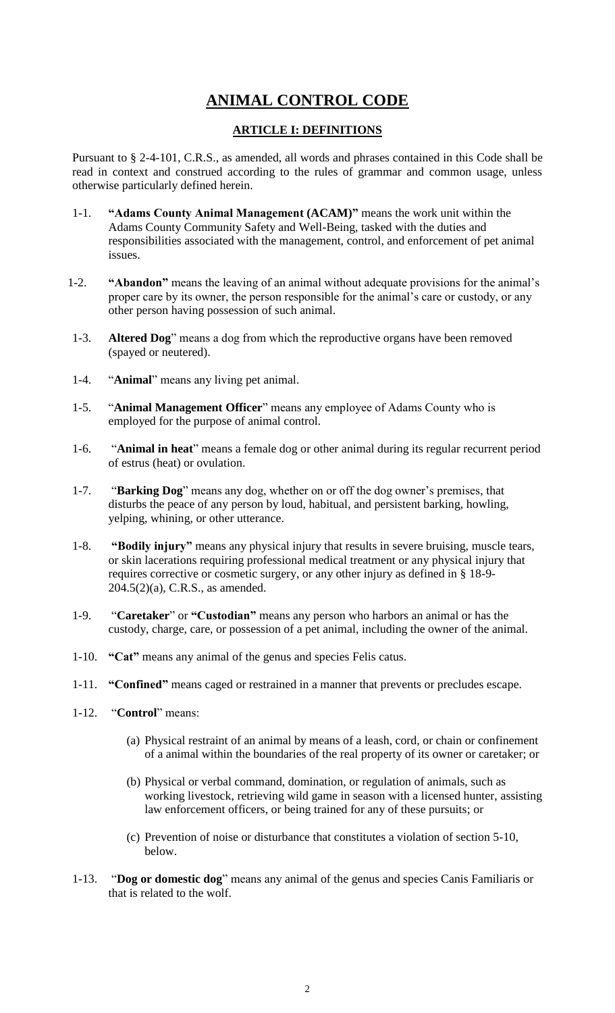# **ANIMAL CONTROL CODE**

# **ARTICLE I: DEFINITIONS**

Pursuant to § 2-4-101, C.R.S., as amended, all words and phrases contained in this Code shall be read in context and construed according to the rules of grammar and common usage, unless otherwise particularly defined herein.

- 1-1. **"Adams County Animal Management (ACAM)"** means the work unit within the Adams County Community Safety and Well-Being, tasked with the duties and responsibilities associated with the management, control, and enforcement of pet animal issues.
- 1-2. **"Abandon"** means the leaving of an animal without adequate provisions for the animal's proper care by its owner, the person responsible for the animal's care or custody, or any other person having possession of such animal.
- 1-3. **Altered Dog**" means a dog from which the reproductive organs have been removed (spayed or neutered).
- 1-4. "**Animal**" means any living pet animal.
- 1-5. "**Animal Management Officer**" means any employee of Adams County who is employed for the purpose of animal control.
- 1-6. "**Animal in heat**" means a female dog or other animal during its regular recurrent period of estrus (heat) or ovulation.
- 1-7. "**Barking Dog**" means any dog, whether on or off the dog owner's premises, that disturbs the peace of any person by loud, habitual, and persistent barking, howling, yelping, whining, or other utterance.
- 1-8. **"Bodily injury"** means any physical injury that results in severe bruising, muscle tears, or skin lacerations requiring professional medical treatment or any physical injury that requires corrective or cosmetic surgery, or any other injury as defined in § 18-9- 204.5(2)(a), C.R.S., as amended.
- 1-9. "**Caretaker**" or **"Custodian"** means any person who harbors an animal or has the custody, charge, care, or possession of a pet animal, including the owner of the animal.
- 1-10. **"Cat"** means any animal of the genus and species Felis catus.
- 1-11. **"Confined"** means caged or restrained in a manner that prevents or precludes escape.
- 1-12. "**Control**" means:
	- (a) Physical restraint of an animal by means of a leash, cord, or chain or confinement of a animal within the boundaries of the real property of its owner or caretaker; or
	- (b) Physical or verbal command, domination, or regulation of animals, such as working livestock, retrieving wild game in season with a licensed hunter, assisting law enforcement officers, or being trained for any of these pursuits; or
	- (c) Prevention of noise or disturbance that constitutes a violation of section 5-10, below.
- 1-13. "**Dog or domestic dog**" means any animal of the genus and species Canis Familiaris or that is related to the wolf.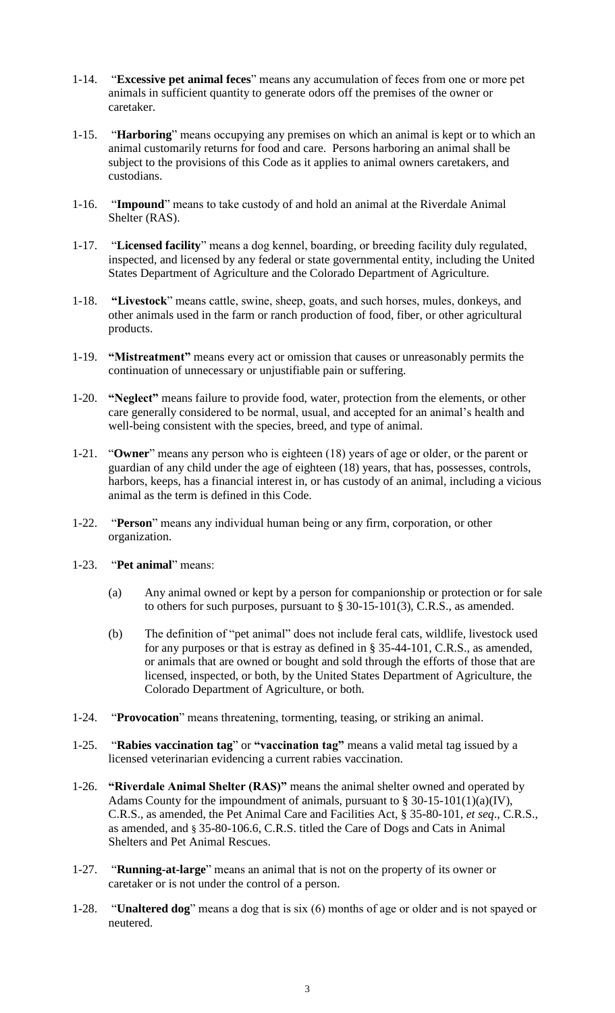- 1-14. "**Excessive pet animal feces**" means any accumulation of feces from one or more pet animals in sufficient quantity to generate odors off the premises of the owner or caretaker.
- 1-15. "**Harboring**" means occupying any premises on which an animal is kept or to which an animal customarily returns for food and care. Persons harboring an animal shall be subject to the provisions of this Code as it applies to animal owners caretakers, and custodians.
- 1-16. "**Impound**" means to take custody of and hold an animal at the Riverdale Animal Shelter (RAS).
- 1-17. "**Licensed facility**" means a dog kennel, boarding, or breeding facility duly regulated, inspected, and licensed by any federal or state governmental entity, including the United States Department of Agriculture and the Colorado Department of Agriculture.
- 1-18. **"Livestock**" means cattle, swine, sheep, goats, and such horses, mules, donkeys, and other animals used in the farm or ranch production of food, fiber, or other agricultural products.
- 1-19. **"Mistreatment"** means every act or omission that causes or unreasonably permits the continuation of unnecessary or unjustifiable pain or suffering.
- 1-20. **"Neglect"** means failure to provide food, water, protection from the elements, or other care generally considered to be normal, usual, and accepted for an animal's health and well-being consistent with the species, breed, and type of animal.
- 1-21. "**Owner**" means any person who is eighteen (18) years of age or older, or the parent or guardian of any child under the age of eighteen (18) years, that has, possesses, controls, harbors, keeps, has a financial interest in, or has custody of an animal, including a vicious animal as the term is defined in this Code.
- 1-22. "**Person**" means any individual human being or any firm, corporation, or other organization.
- 1-23. "**Pet animal**" means:
	- (a) Any animal owned or kept by a person for companionship or protection or for sale to others for such purposes, pursuant to § 30-15-101(3), C.R.S., as amended.
	- (b) The definition of "pet animal" does not include feral cats, wildlife, livestock used for any purposes or that is estray as defined in § 35-44-101, C.R.S., as amended, or animals that are owned or bought and sold through the efforts of those that are licensed, inspected, or both, by the United States Department of Agriculture, the Colorado Department of Agriculture, or both.
- 1-24. "**Provocation**" means threatening, tormenting, teasing, or striking an animal.
- 1-25. "**Rabies vaccination tag**" or **"vaccination tag"** means a valid metal tag issued by a licensed veterinarian evidencing a current rabies vaccination.
- 1-26. **"Riverdale Animal Shelter (RAS)"** means the animal shelter owned and operated by Adams County for the impoundment of animals, pursuant to  $\S 30-15-101(1)(a)(IV)$ , C.R.S., as amended, the Pet Animal Care and Facilities Act, § 35-80-101, *et seq*., C.R.S., as amended, and § 35-80-106.6, C.R.S. titled the Care of Dogs and Cats in Animal Shelters and Pet Animal Rescues.
- 1-27. "**Running-at-large**" means an animal that is not on the property of its owner or caretaker or is not under the control of a person.
- 1-28. "**Unaltered dog**" means a dog that is six (6) months of age or older and is not spayed or neutered.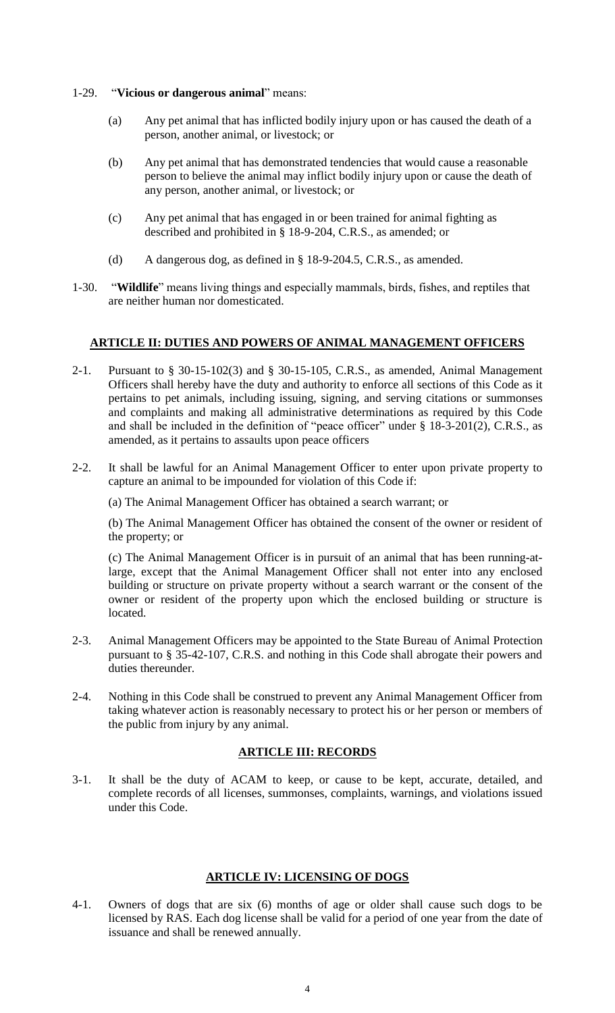- 1-29. "**Vicious or dangerous animal**" means:
	- (a) Any pet animal that has inflicted bodily injury upon or has caused the death of a person, another animal, or livestock; or
	- (b) Any pet animal that has demonstrated tendencies that would cause a reasonable person to believe the animal may inflict bodily injury upon or cause the death of any person, another animal, or livestock; or
	- (c) Any pet animal that has engaged in or been trained for animal fighting as described and prohibited in § 18-9-204, C.R.S., as amended; or
	- (d) A dangerous dog, as defined in § 18-9-204.5, C.R.S., as amended.
- 1-30. "**Wildlife**" means living things and especially mammals, birds, fishes, and reptiles that are neither human nor domesticated.

## **ARTICLE II: DUTIES AND POWERS OF ANIMAL MANAGEMENT OFFICERS**

- 2-1. Pursuant to § 30-15-102(3) and § 30-15-105, C.R.S., as amended, Animal Management Officers shall hereby have the duty and authority to enforce all sections of this Code as it pertains to pet animals, including issuing, signing, and serving citations or summonses and complaints and making all administrative determinations as required by this Code and shall be included in the definition of "peace officer" under § 18-3-201(2), C.R.S., as amended, as it pertains to assaults upon peace officers
- 2-2. It shall be lawful for an Animal Management Officer to enter upon private property to capture an animal to be impounded for violation of this Code if:

(a) The Animal Management Officer has obtained a search warrant; or

(b) The Animal Management Officer has obtained the consent of the owner or resident of the property; or

(c) The Animal Management Officer is in pursuit of an animal that has been running-atlarge, except that the Animal Management Officer shall not enter into any enclosed building or structure on private property without a search warrant or the consent of the owner or resident of the property upon which the enclosed building or structure is located.

- 2-3. Animal Management Officers may be appointed to the State Bureau of Animal Protection pursuant to § 35-42-107, C.R.S. and nothing in this Code shall abrogate their powers and duties thereunder.
- 2-4. Nothing in this Code shall be construed to prevent any Animal Management Officer from taking whatever action is reasonably necessary to protect his or her person or members of the public from injury by any animal.

## **ARTICLE III: RECORDS**

3-1. It shall be the duty of ACAM to keep, or cause to be kept, accurate, detailed, and complete records of all licenses, summonses, complaints, warnings, and violations issued under this Code.

## **ARTICLE IV: LICENSING OF DOGS**

4-1. Owners of dogs that are six (6) months of age or older shall cause such dogs to be licensed by RAS. Each dog license shall be valid for a period of one year from the date of issuance and shall be renewed annually.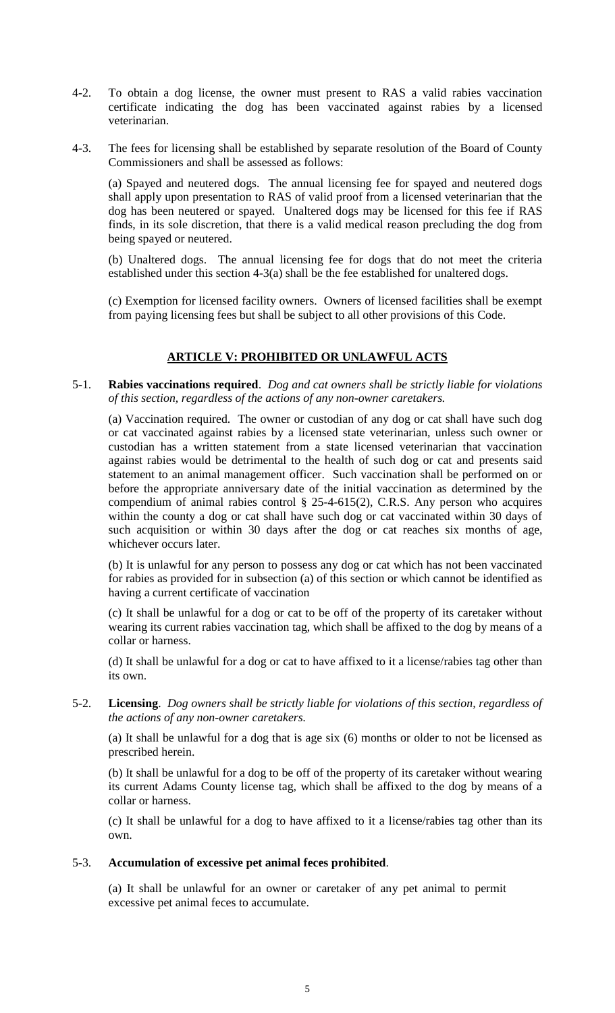- 4-2. To obtain a dog license, the owner must present to RAS a valid rabies vaccination certificate indicating the dog has been vaccinated against rabies by a licensed veterinarian.
- 4-3. The fees for licensing shall be established by separate resolution of the Board of County Commissioners and shall be assessed as follows:

(a) Spayed and neutered dogs. The annual licensing fee for spayed and neutered dogs shall apply upon presentation to RAS of valid proof from a licensed veterinarian that the dog has been neutered or spayed. Unaltered dogs may be licensed for this fee if RAS finds, in its sole discretion, that there is a valid medical reason precluding the dog from being spayed or neutered.

(b) Unaltered dogs. The annual licensing fee for dogs that do not meet the criteria established under this section 4-3(a) shall be the fee established for unaltered dogs.

(c) Exemption for licensed facility owners. Owners of licensed facilities shall be exempt from paying licensing fees but shall be subject to all other provisions of this Code.

## **ARTICLE V: PROHIBITED OR UNLAWFUL ACTS**

#### 5-1. **Rabies vaccinations required**. *Dog and cat owners shall be strictly liable for violations of this section, regardless of the actions of any non-owner caretakers.*

(a) Vaccination required. The owner or custodian of any dog or cat shall have such dog or cat vaccinated against rabies by a licensed state veterinarian, unless such owner or custodian has a written statement from a state licensed veterinarian that vaccination against rabies would be detrimental to the health of such dog or cat and presents said statement to an animal management officer. Such vaccination shall be performed on or before the appropriate anniversary date of the initial vaccination as determined by the compendium of animal rabies control § 25-4-615(2), C.R.S. Any person who acquires within the county a dog or cat shall have such dog or cat vaccinated within 30 days of such acquisition or within 30 days after the dog or cat reaches six months of age, whichever occurs later.

(b) It is unlawful for any person to possess any dog or cat which has not been vaccinated for rabies as provided for in subsection (a) of this section or which cannot be identified as having a current certificate of vaccination

(c) It shall be unlawful for a dog or cat to be off of the property of its caretaker without wearing its current rabies vaccination tag, which shall be affixed to the dog by means of a collar or harness.

(d) It shall be unlawful for a dog or cat to have affixed to it a license/rabies tag other than its own.

5-2. **Licensing**. *Dog owners shall be strictly liable for violations of this section, regardless of the actions of any non-owner caretakers.*

(a) It shall be unlawful for a dog that is age six (6) months or older to not be licensed as prescribed herein.

(b) It shall be unlawful for a dog to be off of the property of its caretaker without wearing its current Adams County license tag, which shall be affixed to the dog by means of a collar or harness.

(c) It shall be unlawful for a dog to have affixed to it a license/rabies tag other than its own.

#### 5-3. **Accumulation of excessive pet animal feces prohibited**.

(a) It shall be unlawful for an owner or caretaker of any pet animal to permit excessive pet animal feces to accumulate.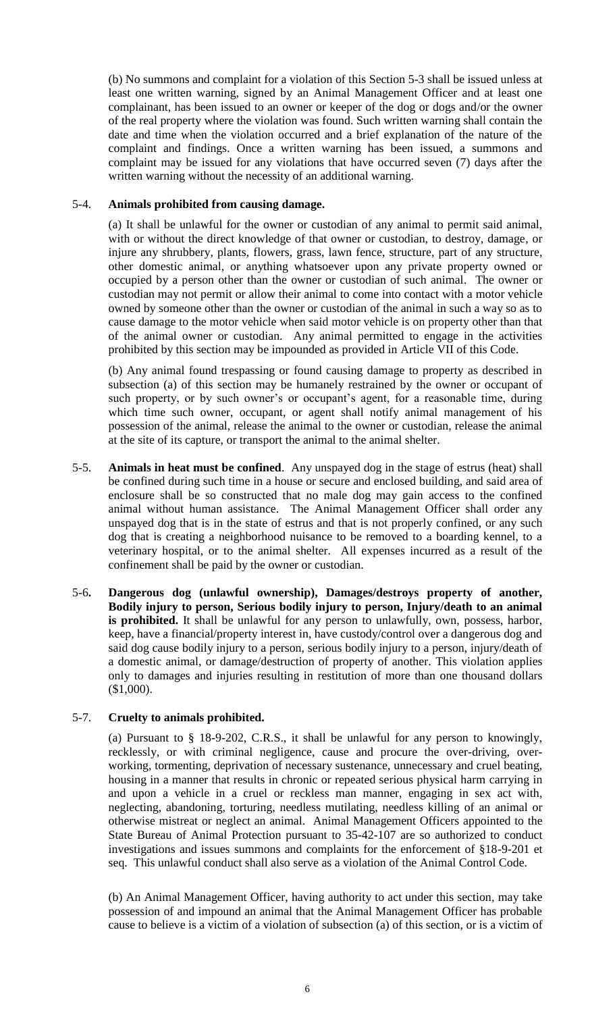(b) No summons and complaint for a violation of this Section 5-3 shall be issued unless at least one written warning, signed by an Animal Management Officer and at least one complainant, has been issued to an owner or keeper of the dog or dogs and/or the owner of the real property where the violation was found. Such written warning shall contain the date and time when the violation occurred and a brief explanation of the nature of the complaint and findings. Once a written warning has been issued, a summons and complaint may be issued for any violations that have occurred seven (7) days after the written warning without the necessity of an additional warning.

## 5-4. **Animals prohibited from causing damage.**

(a) It shall be unlawful for the owner or custodian of any animal to permit said animal, with or without the direct knowledge of that owner or custodian, to destroy, damage, or injure any shrubbery, plants, flowers, grass, lawn fence, structure, part of any structure, other domestic animal, or anything whatsoever upon any private property owned or occupied by a person other than the owner or custodian of such animal. The owner or custodian may not permit or allow their animal to come into contact with a motor vehicle owned by someone other than the owner or custodian of the animal in such a way so as to cause damage to the motor vehicle when said motor vehicle is on property other than that of the animal owner or custodian. Any animal permitted to engage in the activities prohibited by this section may be impounded as provided in Article VII of this Code.

(b) Any animal found trespassing or found causing damage to property as described in subsection (a) of this section may be humanely restrained by the owner or occupant of such property, or by such owner's or occupant's agent, for a reasonable time, during which time such owner, occupant, or agent shall notify animal management of his possession of the animal, release the animal to the owner or custodian, release the animal at the site of its capture, or transport the animal to the animal shelter.

- 5-5. **Animals in heat must be confined**. Any unspayed dog in the stage of estrus (heat) shall be confined during such time in a house or secure and enclosed building, and said area of enclosure shall be so constructed that no male dog may gain access to the confined animal without human assistance. The Animal Management Officer shall order any unspayed dog that is in the state of estrus and that is not properly confined, or any such dog that is creating a neighborhood nuisance to be removed to a boarding kennel, to a veterinary hospital, or to the animal shelter. All expenses incurred as a result of the confinement shall be paid by the owner or custodian.
- 5-6**. Dangerous dog (unlawful ownership), Damages/destroys property of another, Bodily injury to person, Serious bodily injury to person, Injury/death to an animal**  is prohibited. It shall be unlawful for any person to unlawfully, own, possess, harbor, keep, have a financial/property interest in, have custody/control over a dangerous dog and said dog cause bodily injury to a person, serious bodily injury to a person, injury/death of a domestic animal, or damage/destruction of property of another. This violation applies only to damages and injuries resulting in restitution of more than one thousand dollars (\$1,000).

#### 5-7. **Cruelty to animals prohibited.**

(a) Pursuant to § 18-9-202, C.R.S., it shall be unlawful for any person to knowingly, recklessly, or with criminal negligence, cause and procure the over-driving, overworking, tormenting, deprivation of necessary sustenance, unnecessary and cruel beating, housing in a manner that results in chronic or repeated serious physical harm carrying in and upon a vehicle in a cruel or reckless man manner, engaging in sex act with, neglecting, abandoning, torturing, needless mutilating, needless killing of an animal or otherwise mistreat or neglect an animal. Animal Management Officers appointed to the State Bureau of Animal Protection pursuant to 35-42-107 are so authorized to conduct investigations and issues summons and complaints for the enforcement of §18-9-201 et seq. This unlawful conduct shall also serve as a violation of the Animal Control Code.

(b) An Animal Management Officer, having authority to act under this section, may take possession of and impound an animal that the Animal Management Officer has probable cause to believe is a victim of a violation of subsection (a) of this section, or is a victim of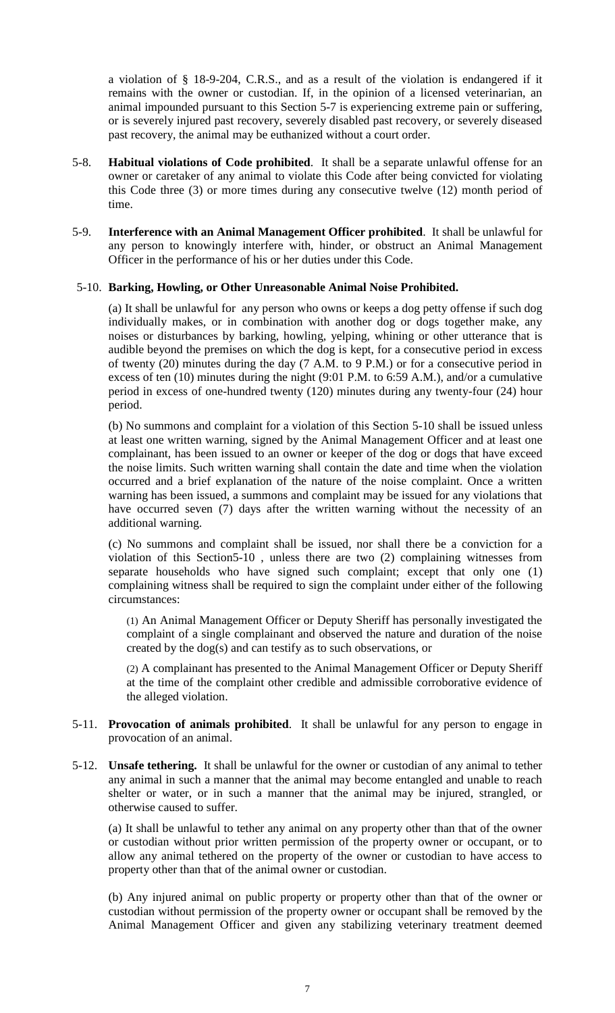a violation of § [18-9-204,](http://web.lexisnexis.com/research/buttonTFLink?_m=a2934e1850457a86bd9612a2726e06c4&_xfercite=%3ccite%20cc%3d%22USA%22%3e%3c%21%5bCDATA%5bC.R.S.%2018-9-202%5d%5d%3e%3c%2fcite%3e&_butType=4&_butStat=0&_butNum=3&_butInline=1&_butinfo=COCODE%2018-9-204&_fmtstr=FULL&docnum=1&_startdoc=1&wchp=dGLzVzB-zSkAW&_md5=9d00c2eaf3ce5fbeb68fcab20ff456e2) C.R.S., and as a result of the violation is endangered if it remains with the owner or custodian. If, in the opinion of a licensed veterinarian, an animal impounded pursuant to this Section 5-7 is experiencing extreme pain or suffering, or is severely injured past recovery, severely disabled past recovery, or severely diseased past recovery, the animal may be euthanized without a court order.

- 5-8. **Habitual violations of Code prohibited**. It shall be a separate unlawful offense for an owner or caretaker of any animal to violate this Code after being convicted for violating this Code three (3) or more times during any consecutive twelve (12) month period of time.
- 5-9. **Interference with an Animal Management Officer prohibited**. It shall be unlawful for any person to knowingly interfere with, hinder, or obstruct an Animal Management Officer in the performance of his or her duties under this Code.

#### 5-10. **Barking, Howling, or Other Unreasonable Animal Noise Prohibited.**

(a) It shall be unlawful for any person who owns or keeps a dog petty offense if such dog individually makes, or in combination with another dog or dogs together make, any noises or disturbances by barking, howling, yelping, whining or other utterance that is audible beyond the premises on which the dog is kept, for a consecutive period in excess of twenty (20) minutes during the day (7 A.M. to 9 P.M.) or for a consecutive period in excess of ten (10) minutes during the night (9:01 P.M. to 6:59 A.M.), and/or a cumulative period in excess of one-hundred twenty (120) minutes during any twenty-four (24) hour period.

(b) No summons and complaint for a violation of this Section 5-10 shall be issued unless at least one written warning, signed by the Animal Management Officer and at least one complainant, has been issued to an owner or keeper of the dog or dogs that have exceed the noise limits. Such written warning shall contain the date and time when the violation occurred and a brief explanation of the nature of the noise complaint. Once a written warning has been issued, a summons and complaint may be issued for any violations that have occurred seven (7) days after the written warning without the necessity of an additional warning.

(c) No summons and complaint shall be issued, nor shall there be a conviction for a violation of this Section5-10 , unless there are two (2) complaining witnesses from separate households who have signed such complaint; except that only one (1) complaining witness shall be required to sign the complaint under either of the following circumstances:

(1) An Animal Management Officer or Deputy Sheriff has personally investigated the complaint of a single complainant and observed the nature and duration of the noise created by the dog(s) and can testify as to such observations, or

(2) A complainant has presented to the Animal Management Officer or Deputy Sheriff at the time of the complaint other credible and admissible corroborative evidence of the alleged violation.

- 5-11. **Provocation of animals prohibited**. It shall be unlawful for any person to engage in provocation of an animal.
- 5-12. **Unsafe tethering.** It shall be unlawful for the owner or custodian of any animal to tether any animal in such a manner that the animal may become entangled and unable to reach shelter or water, or in such a manner that the animal may be injured, strangled, or otherwise caused to suffer.

(a) It shall be unlawful to tether any animal on any property other than that of the owner or custodian without prior written permission of the property owner or occupant, or to allow any animal tethered on the property of the owner or custodian to have access to property other than that of the animal owner or custodian.

(b) Any injured animal on public property or property other than that of the owner or custodian without permission of the property owner or occupant shall be removed by the Animal Management Officer and given any stabilizing veterinary treatment deemed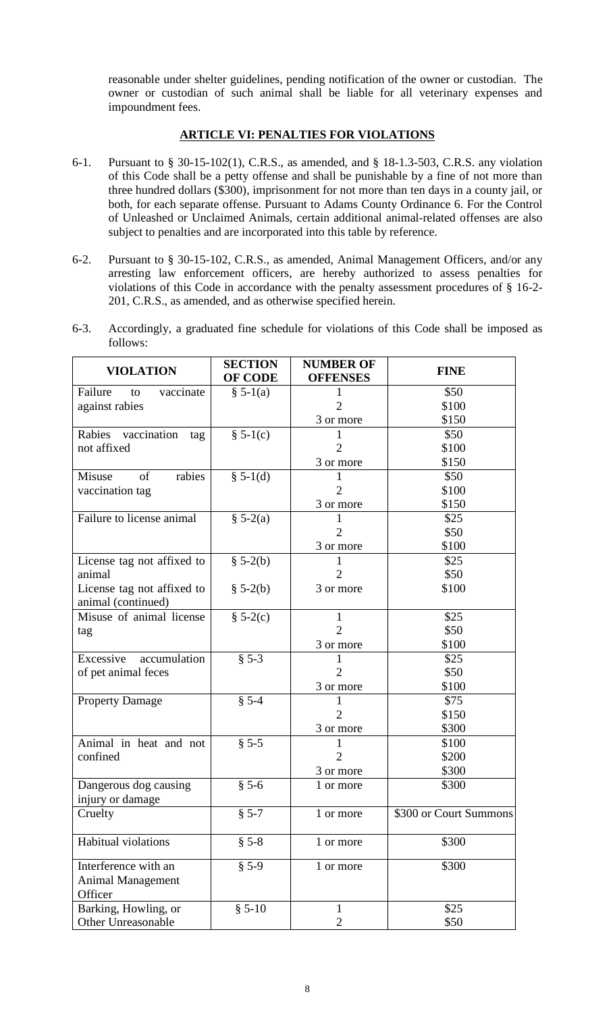reasonable under shelter guidelines, pending notification of the owner or custodian. The owner or custodian of such animal shall be liable for all veterinary expenses and impoundment fees.

#### **ARTICLE VI: PENALTIES FOR VIOLATIONS**

- 6-1. Pursuant to § 30-15-102(1), C.R.S., as amended, and § 18-1.3-503, C.R.S. any violation of this Code shall be a petty offense and shall be punishable by a fine of not more than three hundred dollars (\$300), imprisonment for not more than ten days in a county jail, or both, for each separate offense. Pursuant to Adams County Ordinance 6. For the Control of Unleashed or Unclaimed Animals, certain additional animal-related offenses are also subject to penalties and are incorporated into this table by reference.
- 6-2. Pursuant to § 30-15-102, C.R.S., as amended, Animal Management Officers, and/or any arresting law enforcement officers, are hereby authorized to assess penalties for violations of this Code in accordance with the penalty assessment procedures of § 16-2- 201, C.R.S., as amended, and as otherwise specified herein.
- 6-3. Accordingly, a graduated fine schedule for violations of this Code shall be imposed as follows:

| <b>VIOLATION</b>                                            | <b>SECTION</b><br><b>OF CODE</b> | <b>NUMBER OF</b><br><b>OFFENSES</b> | <b>FINE</b>            |
|-------------------------------------------------------------|----------------------------------|-------------------------------------|------------------------|
| Failure<br>vaccinate<br>to                                  | $§ 5-1(a)$                       | 1                                   | \$50                   |
| against rabies                                              |                                  | $\overline{2}$                      | \$100                  |
|                                                             |                                  | 3 or more                           | \$150                  |
| Rabies vaccination<br>tag                                   | $\S 5-1(c)$                      | 1                                   | \$50                   |
| not affixed                                                 |                                  | $\overline{2}$                      | \$100                  |
|                                                             |                                  | 3 or more                           | \$150                  |
| rabies<br>Misuse<br>of                                      | $\S 5-1(d)$                      | 1                                   | \$50                   |
| vaccination tag                                             |                                  | $\overline{2}$                      | \$100                  |
|                                                             |                                  | 3 or more                           | \$150                  |
| Failure to license animal                                   | $\S 5-2(a)$                      | 1                                   | \$25                   |
|                                                             |                                  | $\overline{2}$                      | \$50                   |
|                                                             |                                  | 3 or more                           | \$100                  |
| License tag not affixed to                                  | $$5-2(b)$                        | 1                                   | \$25                   |
| animal                                                      |                                  | $\overline{2}$                      | \$50                   |
| License tag not affixed to<br>animal (continued)            | $$5-2(b)$                        | 3 or more                           | \$100                  |
| Misuse of animal license                                    | $$5-2(c)$                        | $\mathbf{1}$                        | \$25                   |
| tag                                                         |                                  | $\overline{2}$                      | \$50                   |
|                                                             |                                  | 3 or more                           | \$100                  |
| Excessive accumulation                                      | $§ 5-3$                          | 1                                   | \$25                   |
| of pet animal feces                                         |                                  | $\overline{2}$                      | \$50                   |
|                                                             |                                  | 3 or more                           | \$100                  |
| <b>Property Damage</b>                                      | $§ 5-4$                          | $\mathbf{1}$                        | \$75                   |
|                                                             |                                  | $\overline{2}$                      | \$150                  |
|                                                             |                                  | 3 or more                           | \$300                  |
| Animal in heat and not                                      | $§ 5-5$                          | 1                                   | \$100                  |
| confined                                                    |                                  | $\overline{2}$                      | \$200                  |
|                                                             |                                  | 3 or more                           | \$300                  |
| Dangerous dog causing<br>injury or damage                   | $§ 5-6$                          | 1 or more                           | \$300                  |
| Cruelty                                                     | $§ 5-7$                          | 1 or more                           | \$300 or Court Summons |
| <b>Habitual violations</b>                                  | $§ 5-8$                          | 1 or more                           | \$300                  |
| Interference with an<br><b>Animal Management</b><br>Officer | $§ 5-9$                          | 1 or more                           | \$300                  |
| Barking, Howling, or                                        | $$5-10$                          | 1                                   | \$25                   |
| Other Unreasonable                                          |                                  | $\overline{2}$                      | \$50                   |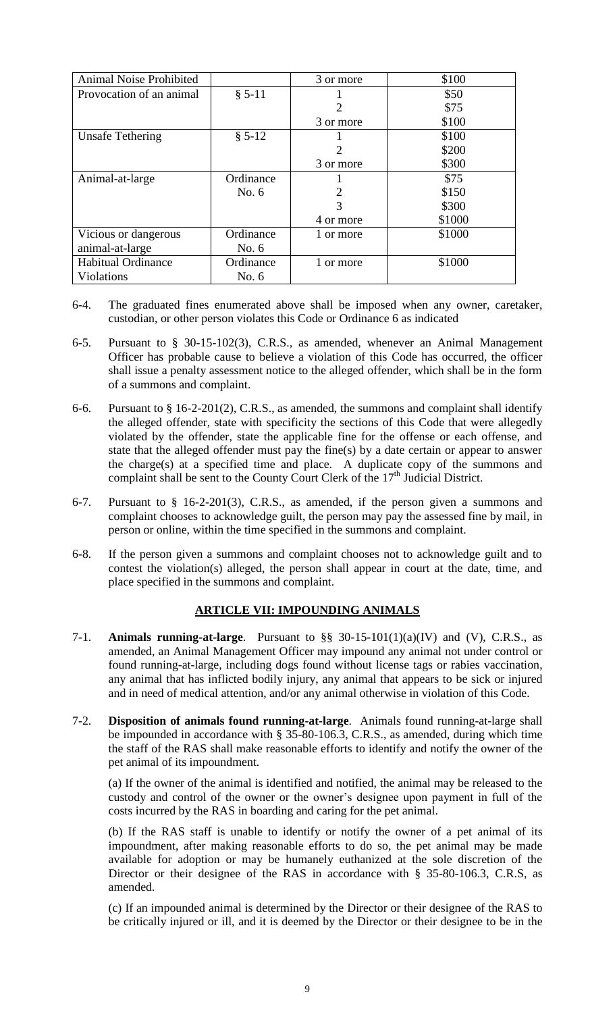| Animal Noise Prohibited   |           | 3 or more | \$100  |
|---------------------------|-----------|-----------|--------|
| Provocation of an animal  | $§ 5-11$  |           | \$50   |
|                           |           | っ         | \$75   |
|                           |           | 3 or more | \$100  |
| <b>Unsafe Tethering</b>   | $§ 5-12$  |           | \$100  |
|                           |           | 2         | \$200  |
|                           |           | 3 or more | \$300  |
| Animal-at-large           | Ordinance |           | \$75   |
|                           | No. $6$   |           | \$150  |
|                           |           | 3         | \$300  |
|                           |           | 4 or more | \$1000 |
| Vicious or dangerous      | Ordinance | 1 or more | \$1000 |
| animal-at-large           | No. $6$   |           |        |
| <b>Habitual Ordinance</b> | Ordinance | 1 or more | \$1000 |
| <b>Violations</b>         | No. $6$   |           |        |

- 6-4. The graduated fines enumerated above shall be imposed when any owner, caretaker, custodian, or other person violates this Code or Ordinance 6 as indicated
- 6-5. Pursuant to § 30-15-102(3), C.R.S., as amended, whenever an Animal Management Officer has probable cause to believe a violation of this Code has occurred, the officer shall issue a penalty assessment notice to the alleged offender, which shall be in the form of a summons and complaint.
- 6-6. Pursuant to  $\S 16-2-201(2)$ , C.R.S., as amended, the summons and complaint shall identify the alleged offender, state with specificity the sections of this Code that were allegedly violated by the offender, state the applicable fine for the offense or each offense, and state that the alleged offender must pay the fine(s) by a date certain or appear to answer the charge(s) at a specified time and place. A duplicate copy of the summons and complaint shall be sent to the County Court Clerk of the 17<sup>th</sup> Judicial District.
- 6-7. Pursuant to § 16-2-201(3), C.R.S., as amended, if the person given a summons and complaint chooses to acknowledge guilt, the person may pay the assessed fine by mail, in person or online, within the time specified in the summons and complaint.
- 6-8. If the person given a summons and complaint chooses not to acknowledge guilt and to contest the violation(s) alleged, the person shall appear in court at the date, time, and place specified in the summons and complaint.

# **ARTICLE VII: IMPOUNDING ANIMALS**

- 7-1. **Animals running-at-large**. Pursuant to §§ 30-15-101(1)(a)(IV) and (V), C.R.S., as amended, an Animal Management Officer may impound any animal not under control or found running-at-large, including dogs found without license tags or rabies vaccination, any animal that has inflicted bodily injury, any animal that appears to be sick or injured and in need of medical attention, and/or any animal otherwise in violation of this Code.
- 7-2. **Disposition of animals found running-at-large**. Animals found running-at-large shall be impounded in accordance with § 35-80-106.3, C.R.S., as amended, during which time the staff of the RAS shall make reasonable efforts to identify and notify the owner of the pet animal of its impoundment.

(a) If the owner of the animal is identified and notified, the animal may be released to the custody and control of the owner or the owner's designee upon payment in full of the costs incurred by the RAS in boarding and caring for the pet animal.

(b) If the RAS staff is unable to identify or notify the owner of a pet animal of its impoundment, after making reasonable efforts to do so, the pet animal may be made available for adoption or may be humanely euthanized at the sole discretion of the Director or their designee of the RAS in accordance with § 35-80-106.3, C.R.S, as amended.

(c) If an impounded animal is determined by the Director or their designee of the RAS to be critically injured or ill, and it is deemed by the Director or their designee to be in the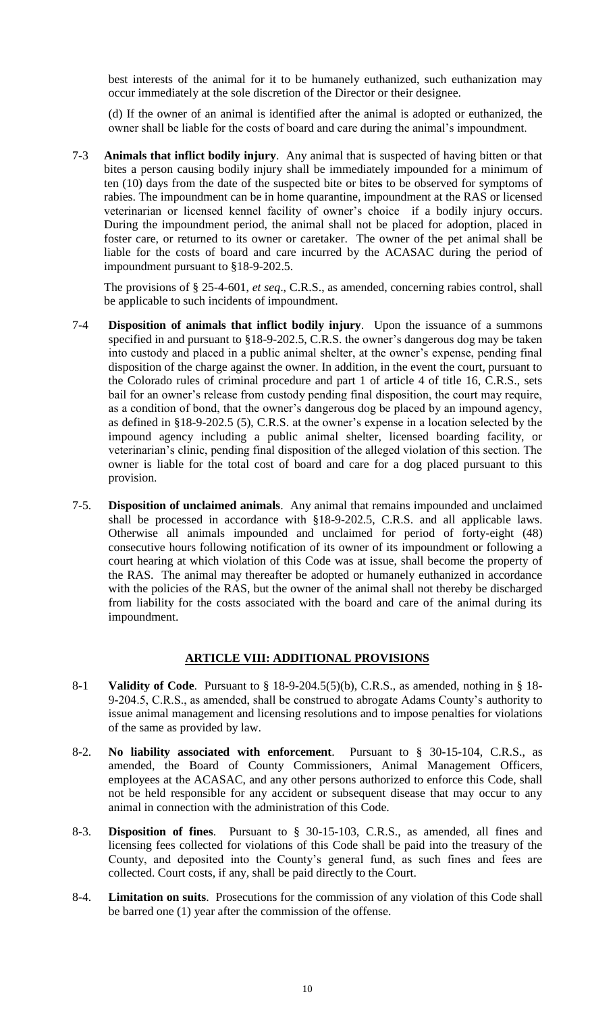best interests of the animal for it to be humanely euthanized, such euthanization may occur immediately at the sole discretion of the Director or their designee.

(d) If the owner of an animal is identified after the animal is adopted or euthanized, the owner shall be liable for the costs of board and care during the animal's impoundment.

7-3 **Animals that inflict bodily injury**. Any animal that is suspected of having bitten or that bites a person causing bodily injury shall be immediately impounded for a minimum of ten (10) days from the date of the suspected bite or bite**s** to be observed for symptoms of rabies. The impoundment can be in home quarantine, impoundment at the RAS or licensed veterinarian or licensed kennel facility of owner's choice if a bodily injury occurs. During the impoundment period, the animal shall not be placed for adoption, placed in foster care, or returned to its owner or caretaker. The owner of the pet animal shall be liable for the costs of board and care incurred by the ACASAC during the period of impoundment pursuant to §18-9-202.5.

The provisions of § 25-4-601, *et seq*., C.R.S., as amended, concerning rabies control, shall be applicable to such incidents of impoundment.

- 7-4 **Disposition of animals that inflict bodily injury**. Upon the issuance of a summons specified in and pursuant to §18-9-202.5, C.R.S. the owner's dangerous dog may be taken into custody and placed in a public animal shelter, at the owner's expense, pending final disposition of the charge against the owner. In addition, in the event the court, pursuant to the Colorado rules of criminal procedure and part 1 of article 4 of title 16, C.R.S., sets bail for an owner's release from custody pending final disposition, the court may require, as a condition of bond, that the owner's dangerous dog be placed by an impound agency, as defined in §18-9-202.5 (5), C.R.S. at the owner's expense in a location selected by the impound agency including a public animal shelter, licensed boarding facility, or veterinarian's clinic, pending final disposition of the alleged violation of this section. The owner is liable for the total cost of board and care for a dog placed pursuant to this provision.
- 7-5. **Disposition of unclaimed animals**. Any animal that remains impounded and unclaimed shall be processed in accordance with §18-9-202.5, C.R.S. and all applicable laws. Otherwise all animals impounded and unclaimed for period of forty-eight (48) consecutive hours following notification of its owner of its impoundment or following a court hearing at which violation of this Code was at issue, shall become the property of the RAS. The animal may thereafter be adopted or humanely euthanized in accordance with the policies of the RAS, but the owner of the animal shall not thereby be discharged from liability for the costs associated with the board and care of the animal during its impoundment.

#### **ARTICLE VIII: ADDITIONAL PROVISIONS**

- 8-1 **Validity of Code**. Pursuant to § 18-9-204.5(5)(b), C.R.S., as amended, nothing in § 18- 9-204.5, C.R.S., as amended, shall be construed to abrogate Adams County's authority to issue animal management and licensing resolutions and to impose penalties for violations of the same as provided by law.
- 8-2. **No liability associated with enforcement**. Pursuant to § 30-15-104, C.R.S., as amended, the Board of County Commissioners, Animal Management Officers, employees at the ACASAC, and any other persons authorized to enforce this Code, shall not be held responsible for any accident or subsequent disease that may occur to any animal in connection with the administration of this Code.
- 8-3. **Disposition of fines**. Pursuant to § 30-15-103, C.R.S., as amended, all fines and licensing fees collected for violations of this Code shall be paid into the treasury of the County, and deposited into the County's general fund, as such fines and fees are collected. Court costs, if any, shall be paid directly to the Court.
- 8-4. **Limitation on suits**. Prosecutions for the commission of any violation of this Code shall be barred one (1) year after the commission of the offense.